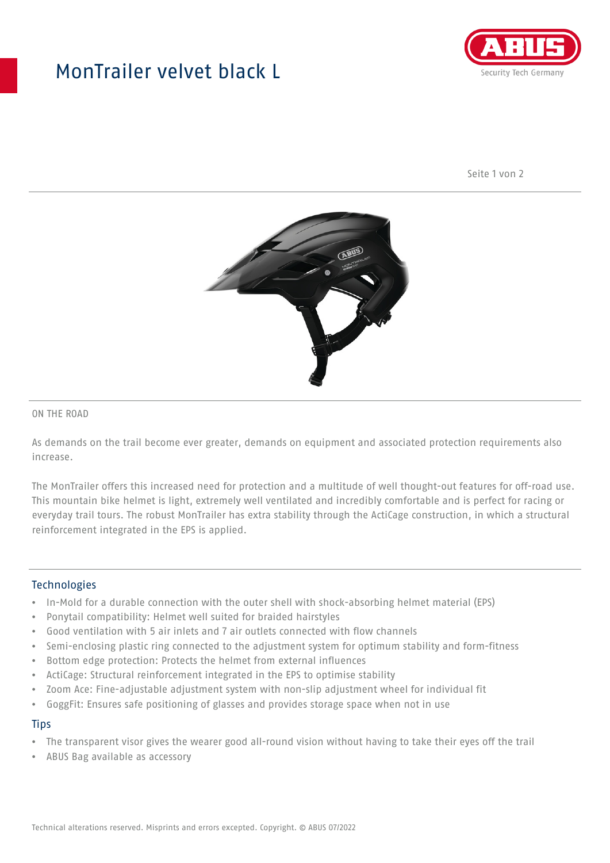## MonTrailer velvet black L



Seite 1 von 2



#### ON THE ROAD

As demands on the trail become ever greater, demands on equipment and associated protection requirements also increase.

The MonTrailer offers this increased need for protection and a multitude of well thought-out features for off-road use. This mountain bike helmet is light, extremely well ventilated and incredibly comfortable and is perfect for racing or everyday trail tours. The robust MonTrailer has extra stability through the ActiCage construction, in which a structural reinforcement integrated in the EPS is applied.

#### **Technologies**

- In-Mold for a durable connection with the outer shell with shock-absorbing helmet material (EPS)
- Ponytail compatibility: Helmet well suited for braided hairstyles
- Good ventilation with 5 air inlets and 7 air outlets connected with flow channels
- Semi-enclosing plastic ring connected to the adjustment system for optimum stability and form-fitness
- Bottom edge protection: Protects the helmet from external influences
- ActiCage: Structural reinforcement integrated in the EPS to optimise stability
- Zoom Ace: Fine-adjustable adjustment system with non-slip adjustment wheel for individual fit
- GoggFit: Ensures safe positioning of glasses and provides storage space when not in use

#### **Tips**

- The transparent visor gives the wearer good all-round vision without having to take their eyes off the trail
- ABUS Bag available as accessory